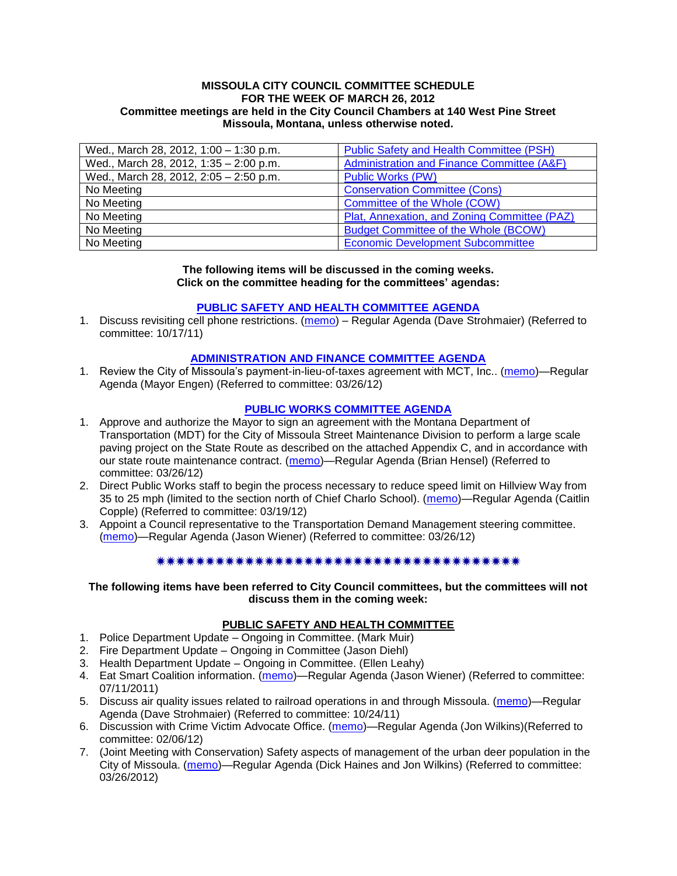#### **MISSOULA CITY COUNCIL COMMITTEE SCHEDULE FOR THE WEEK OF MARCH 26, 2012 Committee meetings are held in the City Council Chambers at 140 West Pine Street Missoula, Montana, unless otherwise noted.**

| Wed., March 28, 2012, 1:00 - 1:30 p.m. | Public Safety and Health Committee (PSH)     |
|----------------------------------------|----------------------------------------------|
| Wed., March 28, 2012, 1:35 - 2:00 p.m. | Administration and Finance Committee (A&F)   |
| Wed., March 28, 2012, 2:05 - 2:50 p.m. | <b>Public Works (PW)</b>                     |
| No Meeting                             | <b>Conservation Committee (Cons)</b>         |
| No Meeting                             | Committee of the Whole (COW)                 |
| No Meeting                             | Plat, Annexation, and Zoning Committee (PAZ) |
| No Meeting                             | <b>Budget Committee of the Whole (BCOW)</b>  |
| No Meeting                             | <b>Economic Development Subcommittee</b>     |

#### **The following items will be discussed in the coming weeks. Click on the committee heading for the committees' agendas:**

### **[PUBLIC SAFETY AND HEALTH COMMITTEE](http://www.ci.missoula.mt.us/DocumentCenterii.aspx?FID=836) AGENDA**

1. Discuss revisiting cell phone restrictions. [\(memo\)](http://www.ci.missoula.mt.us/DocumentView.aspx?DID=7420) – Regular Agenda (Dave Strohmaier) (Referred to committee: 10/17/11)

### **[ADMINISTRATION AND FINANCE COMMITTEE AGENDA](http://www.ci.missoula.mt.us/DocumentCenterii.aspx?FID=830)**

1. Review the City of Missoula's payment-in-lieu-of-taxes agreement with MCT, Inc.. [\(memo\)](http://www.ci.missoula.mt.us/DocumentView.aspx?DID=8523)—Regular Agenda (Mayor Engen) (Referred to committee: 03/26/12)

### **[PUBLIC WORKS COMMITTEE AGENDA](http://www.ci.missoula.mt.us/DocumentCenterii.aspx?FID=833)**

- 1. Approve and authorize the Mayor to sign an agreement with the Montana Department of Transportation (MDT) for the City of Missoula Street Maintenance Division to perform a large scale paving project on the State Route as described on the attached Appendix C, and in accordance with our state route maintenance contract. [\(memo\)](http://www.ci.missoula.mt.us/DocumentView.aspx?DID=8515)—Regular Agenda (Brian Hensel) (Referred to committee: 03/26/12)
- 2. Direct Public Works staff to begin the process necessary to reduce speed limit on Hillview Way from 35 to 25 mph (limited to the section north of Chief Charlo School). [\(memo\)](http://www.ci.missoula.mt.us/DocumentView.aspx?DID=8490)—Regular Agenda (Caitlin Copple) (Referred to committee: 03/19/12)
- 3. Appoint a Council representative to the Transportation Demand Management steering committee. [\(memo\)](http://www.ci.missoula.mt.us/DocumentView.aspx?DID=8519)—Regular Agenda (Jason Wiener) (Referred to committee: 03/26/12)

#### \*\*\*\*\*\*\*\*\*\*\*\*\*\*\*\*\*\*\*\*\*\*\*\*\*\*\*\*\*\*\*\*\*\*\*\*\*\*

#### **The following items have been referred to City Council committees, but the committees will not discuss them in the coming week:**

### **PUBLIC SAFETY AND HEALTH COMMITTEE**

- 1. Police Department Update Ongoing in Committee. (Mark Muir)
- 2. Fire Department Update Ongoing in Committee (Jason Diehl)
- 3. Health Department Update Ongoing in Committee. (Ellen Leahy)
- 4. Eat Smart Coalition information. [\(memo\)](http://www.ci.missoula.mt.us/DocumentView.aspx?DID=6776)—Regular Agenda (Jason Wiener) (Referred to committee: 07/11/2011)
- 5. Discuss air quality issues related to railroad operations in and through Missoula. [\(memo\)](http://www.ci.missoula.mt.us/DocumentView.aspx?DID=7495)—Regular Agenda (Dave Strohmaier) (Referred to committee: 10/24/11)
- 6. Discussion with Crime Victim Advocate Office. [\(memo\)](http://www.ci.missoula.mt.us/DocumentView.aspx?DID=8109)—Regular Agenda (Jon Wilkins)(Referred to committee: 02/06/12)
- 7. (Joint Meeting with Conservation) Safety aspects of management of the urban deer population in the City of Missoula. [\(memo\)](http://www.ci.missoula.mt.us/DocumentView.aspx?DID=8528)—Regular Agenda (Dick Haines and Jon Wilkins) (Referred to committee: 03/26/2012)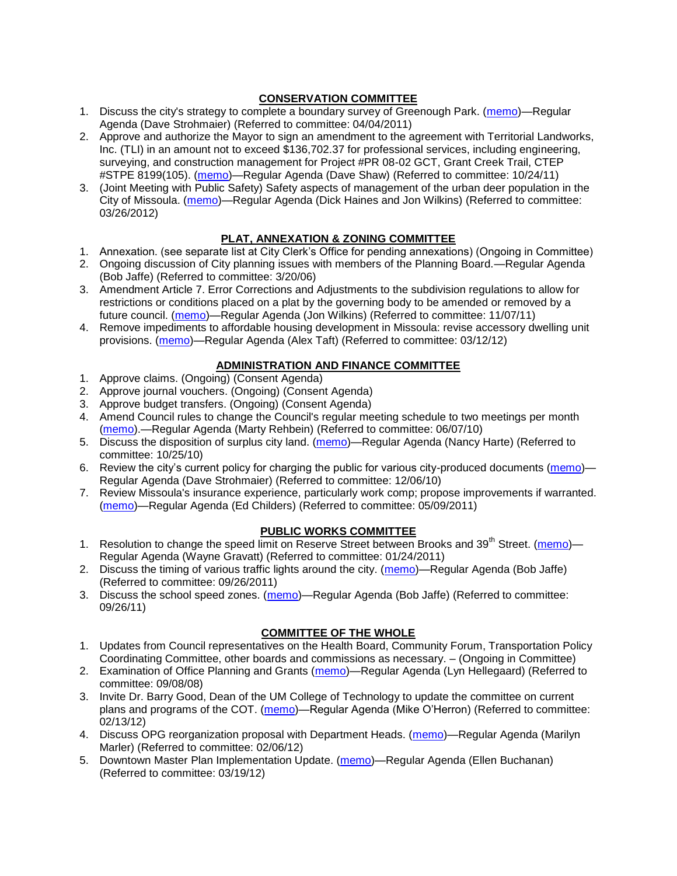# **CONSERVATION COMMITTEE**

- 1. Discuss the city's strategy to complete a boundary survey of Greenough Park. [\(memo\)](http://www.ci.missoula.mt.us/DocumentView.aspx?DID=5875)—Regular Agenda (Dave Strohmaier) (Referred to committee: 04/04/2011)
- 2. Approve and authorize the Mayor to sign an amendment to the agreement with Territorial Landworks, Inc. (TLI) in an amount not to exceed \$136,702.37 for professional services, including engineering, surveying, and construction management for Project #PR 08-02 GCT, Grant Creek Trail, CTEP #STPE 8199(105). [\(memo\)](http://www.ci.missoula.mt.us/DocumentView.aspx?DID=7494)—Regular Agenda (Dave Shaw) (Referred to committee: 10/24/11)
- 3. (Joint Meeting with Public Safety) Safety aspects of management of the urban deer population in the City of Missoula. [\(memo\)](http://www.ci.missoula.mt.us/DocumentView.aspx?DID=8528)—Regular Agenda (Dick Haines and Jon Wilkins) (Referred to committee: 03/26/2012)

# **PLAT, ANNEXATION & ZONING COMMITTEE**

- 1. Annexation. (see separate list at City Clerk's Office for pending annexations) (Ongoing in Committee)
- 2. Ongoing discussion of City planning issues with members of the Planning Board.—Regular Agenda (Bob Jaffe) (Referred to committee: 3/20/06)
- 3. Amendment Article 7. Error Corrections and Adjustments to the subdivision regulations to allow for restrictions or conditions placed on a plat by the governing body to be amended or removed by a future council. [\(memo\)](http://www.ci.missoula.mt.us/DocumentView.aspx?DID=7568)—Regular Agenda (Jon Wilkins) (Referred to committee: 11/07/11)
- 4. Remove impediments to affordable housing development in Missoula: revise accessory dwelling unit provisions. [\(memo\)](http://www.ci.missoula.mt.us/DocumentView.aspx?DID=8421)—Regular Agenda (Alex Taft) (Referred to committee: 03/12/12)

# **ADMINISTRATION AND FINANCE COMMITTEE**

- 1. Approve claims. (Ongoing) (Consent Agenda)
- 2. Approve journal vouchers. (Ongoing) (Consent Agenda)
- 3. Approve budget transfers. (Ongoing) (Consent Agenda)
- 4. Amend Council rules to change the Council's regular meeting schedule to two meetings per month [\(memo\)](http://www.ci.missoula.mt.us/DocumentView.aspx?DID=4027).—Regular Agenda (Marty Rehbein) (Referred to committee: 06/07/10)
- 5. Discuss the disposition of surplus city land. [\(memo\)](http://www.ci.missoula.mt.us/DocumentView.aspx?DID=4862)—Regular Agenda (Nancy Harte) (Referred to committee: 10/25/10)
- 6. Review the city's current policy for charging the public for various city-produced documents [\(memo\)](http://www.ci.missoula.mt.us/DocumentView.aspx?DID=5143) Regular Agenda (Dave Strohmaier) (Referred to committee: 12/06/10)
- 7. Review Missoula's insurance experience, particularly work comp; propose improvements if warranted. [\(memo\)](http://www.ci.missoula.mt.us/DocumentView.aspx?DID=6381)—Regular Agenda (Ed Childers) (Referred to committee: 05/09/2011)

### **PUBLIC WORKS COMMITTEE**

- 1. Resolution to change the speed limit on Reserve Street between Brooks and 39<sup>th</sup> Street. [\(memo\)](http://www.ci.missoula.mt.us/DocumentView.aspx?DID=5418) Regular Agenda (Wayne Gravatt) (Referred to committee: 01/24/2011)
- 2. Discuss the timing of various traffic lights around the city. [\(memo\)](http://www.ci.missoula.mt.us/DocumentView.aspx?DID=7322)—Regular Agenda (Bob Jaffe) (Referred to committee: 09/26/2011)
- 3. Discuss the school speed zones. [\(memo\)](http://www.ci.missoula.mt.us/DocumentView.aspx?DID=7321)—Regular Agenda (Bob Jaffe) (Referred to committee: 09/26/11)

# **COMMITTEE OF THE WHOLE**

- 1. Updates from Council representatives on the Health Board, Community Forum, Transportation Policy Coordinating Committee, other boards and commissions as necessary. – (Ongoing in Committee)
- 2. Examination of Office Planning and Grants [\(memo\)](ftp://ftp.ci.missoula.mt.us/Packets/Council/2008/2008-09-08/Referrals/080825HendricksonOPGreferral.pdf)—Regular Agenda (Lyn Hellegaard) (Referred to committee: 09/08/08)
- 3. Invite Dr. Barry Good, Dean of the UM College of Technology to update the committee on current plans and programs of the COT. [\(memo\)](http://www.ci.missoula.mt.us/DocumentView.aspx?DID=8192)—Regular Agenda (Mike O'Herron) (Referred to committee: 02/13/12)
- 4. Discuss OPG reorganization proposal with Department Heads. [\(memo\)](http://www.ci.missoula.mt.us/DocumentView.aspx?DID=8122)—Regular Agenda (Marilyn Marler) (Referred to committee: 02/06/12)
- 5. Downtown Master Plan Implementation Update. [\(memo\)](http://www.ci.missoula.mt.us/DocumentView.aspx?DID=8485)—Regular Agenda (Ellen Buchanan) (Referred to committee: 03/19/12)